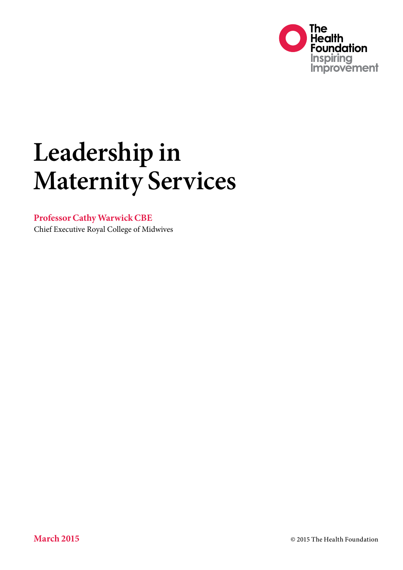

# **Leadership in Maternity Services**

#### **Professor Cathy Warwick CBE**

Chief Executive Royal College of Midwives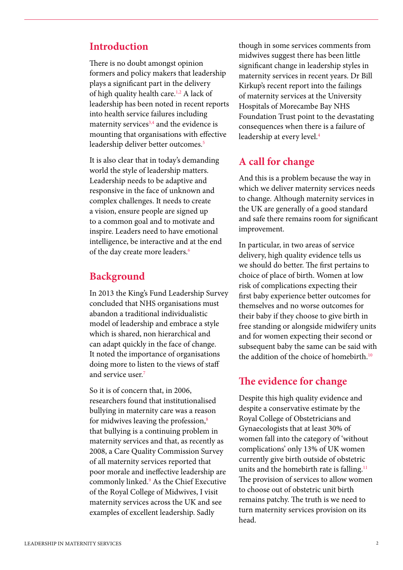#### **Introduction**

There is no doubt amongst opinion formers and policy makers that leadership plays a significant part in the delivery of high quality health care.1,2 A lack of leadership has been noted in recent reports into health service failures including maternity services<sup>3,4</sup> and the evidence is mounting that organisations with effective leadership deliver better outcomes.<sup>5</sup>

It is also clear that in today's demanding world the style of leadership matters. Leadership needs to be adaptive and responsive in the face of unknown and complex challenges. It needs to create a vision, ensure people are signed up to a common goal and to motivate and inspire. Leaders need to have emotional intelligence, be interactive and at the end of the day create more leaders.<sup>6</sup>

### **Background**

In 2013 the King's Fund Leadership Survey concluded that NHS organisations must abandon a traditional individualistic model of leadership and embrace a style which is shared, non hierarchical and can adapt quickly in the face of change. It noted the importance of organisations doing more to listen to the views of staff and service user.7

So it is of concern that, in 2006, researchers found that institutionalised bullying in maternity care was a reason for midwives leaving the profession,<sup>8</sup> that bullying is a continuing problem in maternity services and that, as recently as 2008, a Care Quality Commission Survey of all maternity services reported that poor morale and ineffective leadership are commonly linked.9 As the Chief Executive of the Royal College of Midwives, I visit maternity services across the UK and see examples of excellent leadership. Sadly

though in some services comments from midwives suggest there has been little significant change in leadership styles in maternity services in recent years. Dr Bill Kirkup's recent report into the failings of maternity services at the University Hospitals of Morecambe Bay NHS Foundation Trust point to the devastating consequences when there is a failure of leadership at every level.<sup>4</sup>

### **A call for change**

And this is a problem because the way in which we deliver maternity services needs to change. Although maternity services in the UK are generally of a good standard and safe there remains room for significant improvement.

In particular, in two areas of service delivery, high quality evidence tells us we should do better. The first pertains to choice of place of birth. Women at low risk of complications expecting their first baby experience better outcomes for themselves and no worse outcomes for their baby if they choose to give birth in free standing or alongside midwifery units and for women expecting their second or subsequent baby the same can be said with the addition of the choice of homebirth.<sup>10</sup>

#### **The evidence for change**

Despite this high quality evidence and despite a conservative estimate by the Royal College of Obstetricians and Gynaecologists that at least 30% of women fall into the category of 'without complications' only 13% of UK women currently give birth outside of obstetric units and the homebirth rate is falling.<sup>11</sup> The provision of services to allow women to choose out of obstetric unit birth remains patchy. The truth is we need to turn maternity services provision on its head.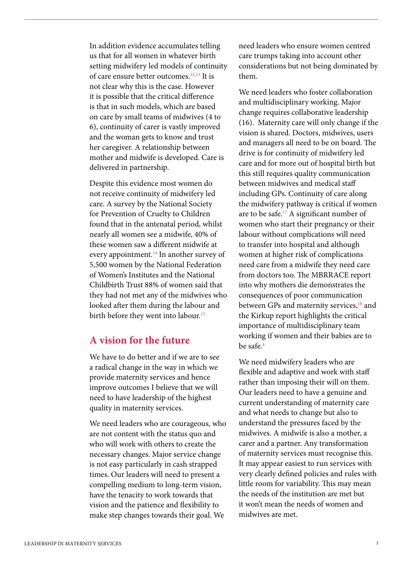In addition evidence accumulates telling us that for all women in whatever birth setting midwifery led models of continuity of care ensure better outcomes.12,13 It is not clear why this is the case. However it is possible that the critical difference is that in such models, which are based on care by small teams of midwives (4 to 6), continuity of carer is vastly improved and the woman gets to know and trust her caregiver. A relationship between mother and midwife is developed. Care is delivered in partnership.

Despite this evidence most women do not receive continuity of midwifery led care. A survey by the National Society for Prevention of Cruelty to Children found that in the antenatal period, whilst nearly all women see a midwife, 40% of these women saw a different midwife at every appointment.<sup>14</sup> In another survey of 5,500 women by the National Federation of Women's Institutes and the National Childbirth Trust 88% of women said that they had not met any of the midwives who looked after them during the labour and birth before they went into labour.<sup>15</sup>

## **A vision for the future**

We have to do better and if we are to see a radical change in the way in which we provide maternity services and hence improve outcomes I believe that we will need to have leadership of the highest quality in maternity services.

We need leaders who are courageous, who are not content with the status quo and who will work with others to create the necessary changes. Major service change is not easy particularly in cash strapped times. Our leaders will need to present a compelling medium to long-term vision, have the tenacity to work towards that vision and the patience and flexibility to make step changes towards their goal. We

need leaders who ensure women centred care trumps taking into account other considerations but not being dominated by them.

We need leaders who foster collaboration and multidisciplinary working. Major change requires collaborative leadership (16). Maternity care will only change if the vision is shared. Doctors, midwives, users and managers all need to be on board. The drive is for continuity of midwifery led care and for more out of hospital birth but this still requires quality communication between midwives and medical staff including GPs. Continuity of care along the midwifery pathway is critical if women are to be safe.17 A significant number of women who start their pregnancy or their labour without complications will need to transfer into hospital and although women at higher risk of complications need care from a midwife they need care from doctors too. The MBRRACE report into why mothers die demonstrates the consequences of poor communication between GPs and maternity services,<sup>18</sup> and the Kirkup report highlights the critical importance of multidisciplinary team working if women and their babies are to be safe.4

We need midwifery leaders who are flexible and adaptive and work with staff rather than imposing their will on them. Our leaders need to have a genuine and current understanding of maternity care and what needs to change but also to understand the pressures faced by the midwives. A midwife is also a mother, a carer and a partner. Any transformation of maternity services must recognise this. It may appear easiest to run services with very clearly defined policies and rules with little room for variability. This may mean the needs of the institution are met but it won't mean the needs of women and midwives are met.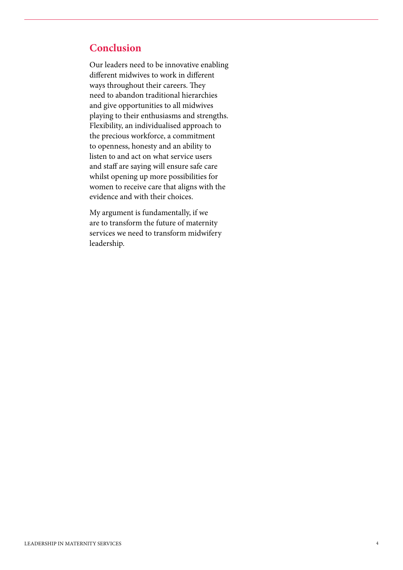## **Conclusion**

Our leaders need to be innovative enabling different midwives to work in different ways throughout their careers. They need to abandon traditional hierarchies and give opportunities to all midwives playing to their enthusiasms and strengths. Flexibility, an individualised approach to the precious workforce, a commitment to openness, honesty and an ability to listen to and act on what service users and staff are saying will ensure safe care whilst opening up more possibilities for women to receive care that aligns with the evidence and with their choices.

My argument is fundamentally, if we are to transform the future of maternity services we need to transform midwifery leadership.